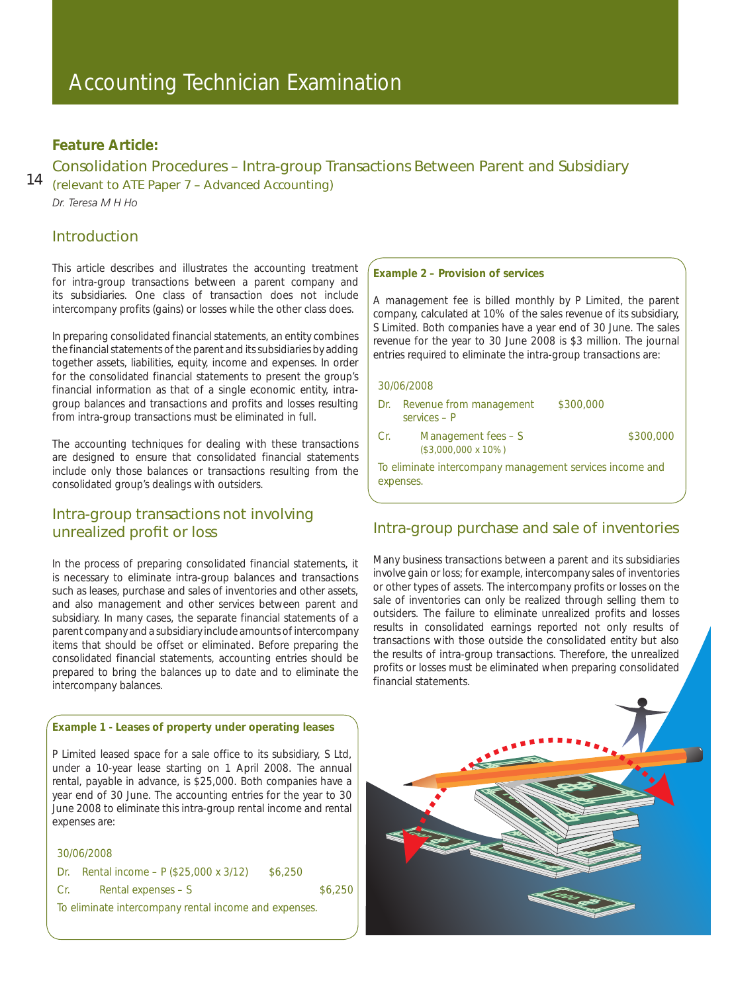# Accounting Technician Examination

# **Feature Article:**

### Consolidation Procedures – Intra-group Transactions Between Parent and Subsidiary

14 (relevant to ATE Paper 7 – Advanced Accounting) *Dr. Teresa M H Ho*

### Introduction

This article describes and illustrates the accounting treatment for intra-group transactions between a parent company and its subsidiaries. One class of transaction does not include intercompany profits (gains) or losses while the other class does.

In preparing consolidated financial statements, an entity combines the financial statements of the parent and its subsidiaries by adding together assets, liabilities, equity, income and expenses. In order for the consolidated financial statements to present the group's financial information as that of a single economic entity, intragroup balances and transactions and profits and losses resulting from intra-group transactions must be eliminated in full.

The accounting techniques for dealing with these transactions are designed to ensure that consolidated financial statements include only those balances or transactions resulting from the consolidated group's dealings with outsiders.

## Intra-group transactions not involving unrealized profit or loss

In the process of preparing consolidated financial statements, it is necessary to eliminate intra-group balances and transactions such as leases, purchase and sales of inventories and other assets, and also management and other services between parent and subsidiary. In many cases, the separate financial statements of a parent company and a subsidiary include amounts of intercompany items that should be offset or eliminated. Before preparing the consolidated financial statements, accounting entries should be prepared to bring the balances up to date and to eliminate the intercompany balances.

### **Example 1 - Leases of property under operating leases**

P Limited leased space for a sale office to its subsidiary, S Ltd, under a 10-year lease starting on 1 April 2008. The annual rental, payable in advance, is \$25,000. Both companies have a year end of 30 June. The accounting entries for the year to 30 June 2008 to eliminate this intra-group rental income and rental expenses are:

### 30/06/2008

|      | Dr. Rental income – $P$ (\$25,000 x 3/12)             | \$6,250 |         |
|------|-------------------------------------------------------|---------|---------|
| -Cr. | Rental expenses $- S$                                 |         | \$6,250 |
|      | To eliminate intercompany rental income and expenses. |         |         |

#### **Example 2 – Provision of services**

A management fee is billed monthly by P Limited, the parent company, calculated at 10% of the sales revenue of its subsidiary, S Limited. Both companies have a year end of 30 June. The sales revenue for the year to 30 June 2008 is \$3 million. The journal entries required to eliminate the intra-group transactions are:

### 30/06/2008

|       | Dr. Revenue from management<br>$s$ ervices – P                        | \$300,000 |          |
|-------|-----------------------------------------------------------------------|-----------|----------|
| Cr. . | Management fees – S<br>$($3,000,000 \times 10\%)$                     |           | \$300,00 |
|       | To eliminate intercompany management services income and<br>expenses. |           |          |

 $.000$ 

# Intra-group purchase and sale of inventories

Many business transactions between a parent and its subsidiaries involve gain or loss; for example, intercompany sales of inventories or other types of assets. The intercompany profits or losses on the sale of inventories can only be realized through selling them to outsiders. The failure to eliminate unrealized profits and losses results in consolidated earnings reported not only results of transactions with those outside the consolidated entity but also the results of intra-group transactions. Therefore, the unrealized profits or losses must be eliminated when preparing consolidated financial statements.

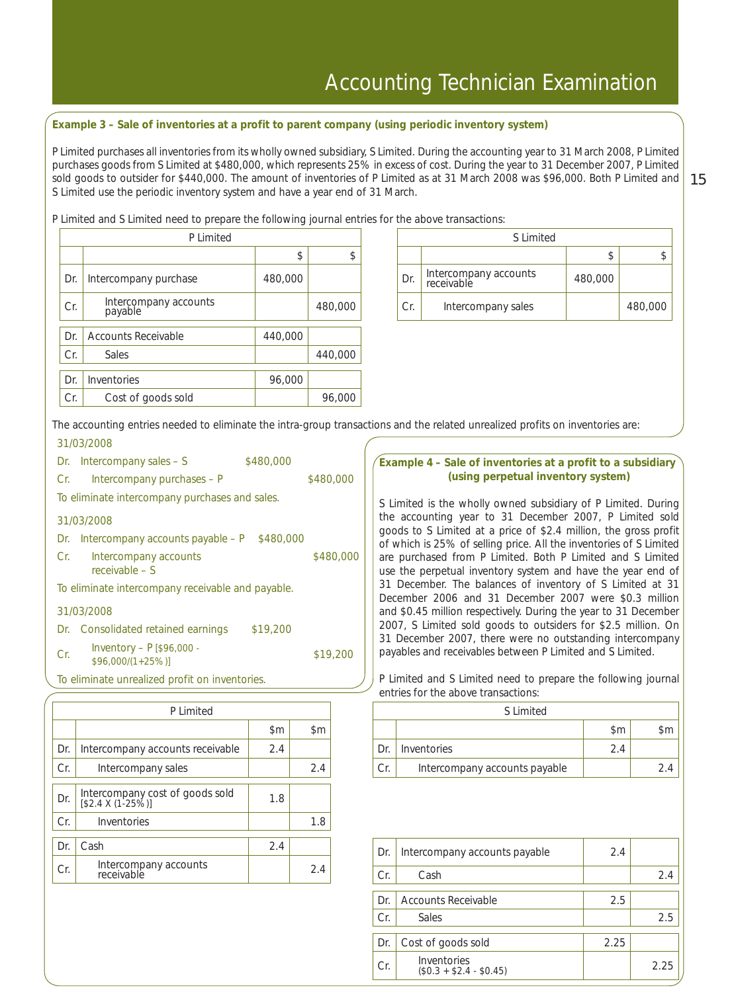### **Example 3 – Sale of inventories at a profit to parent company (using periodic inventory system)**

sold goods to outsider for \$440,000. The amount of inventories of P Limited as at 31 March 2008 was \$96,000. Both P Limited and  $\mid 15$ P Limited purchases all inventories from its wholly owned subsidiary, S Limited. During the accounting year to 31 March 2008, P Limited purchases goods from S Limited at \$480,000, which represents 25% in excess of cost. During the year to 31 December 2007, P Limited S Limited use the periodic inventory system and have a year end of 31 March.

P Limited and S Limited need to prepare the following journal entries for the above transactions:

|     | P Limited                        |         |         |  |     | S Limited                           |
|-----|----------------------------------|---------|---------|--|-----|-------------------------------------|
|     |                                  | \$      | \$      |  |     |                                     |
| Dr. | Intercompany purchase            | 480,000 |         |  | Dr. | Intercompany accounts<br>receivable |
| Cr. | Intercompany accounts<br>payable |         | 480,000 |  | Cr. | Intercompany sales                  |
| Dr. | <b>Accounts Receivable</b>       | 440,000 |         |  |     |                                     |
|     |                                  |         |         |  |     |                                     |
| Cr. | <b>Sales</b>                     |         | 440,000 |  |     |                                     |
|     |                                  |         |         |  |     |                                     |
| Dr. | Inventories                      | 96,000  |         |  |     |                                     |
| Cr. | Cost of goods sold               |         | 96,000  |  |     |                                     |

| P Limited                        |         |         |  |     | S Limited                           |         |         |
|----------------------------------|---------|---------|--|-----|-------------------------------------|---------|---------|
|                                  |         |         |  |     |                                     |         |         |
| rcompany purchase                | 480,000 |         |  | Dr. | Intercompany accounts<br>receivable | 480,000 |         |
| Intercompany accounts<br>payable |         | 480,000 |  | Cr. | Intercompany sales                  |         | 480,000 |

The accounting entries needed to eliminate the intra-group transactions and the related unrealized profits on inventories are: 31/03/2008

|     | Dr. Intercompany sales $-$ S                      | \$480,000 |           |
|-----|---------------------------------------------------|-----------|-----------|
| Cr. | Intercompany purchases - P                        |           | \$480,000 |
|     | To eliminate intercompany purchases and sales.    |           |           |
|     | 31/03/2008                                        |           |           |
| Dr. | Intercompany accounts payable – P                 | \$480,000 |           |
| Cr. | Intercompany accounts<br>$receivable - S$         |           | \$480,000 |
|     | To eliminate intercompany receivable and payable. |           |           |
|     | 31/03/2008                                        |           |           |
|     | Dr. Consolidated retained earnings                | \$19,200  |           |
| Cr. | Inventory - $P$ [\$96,000 -<br>$$96,000/(1+25%)$  |           | \$19.200  |

To eliminate unrealized profit on inventories.

|     | P Limited                                             |                |               |  |  |
|-----|-------------------------------------------------------|----------------|---------------|--|--|
|     |                                                       | $\mathsf{S}$ m | $\mathsf{Sm}$ |  |  |
| Dr. | Intercompany accounts receivable                      | 2.4            |               |  |  |
| Cr. | Intercompany sales                                    |                | 2.4           |  |  |
| Dr. | Intercompany cost of goods sold<br>$[$2.4 X (1-25%)]$ | 1.8            |               |  |  |
| Cr. | Inventories                                           |                | 1.8           |  |  |
| Dr. | Cash                                                  | 2.4            |               |  |  |
| Cr. | Intercompany accounts<br>receivable                   |                | 2.4           |  |  |

### **Example 4 – Sale of inventories at a profit to a subsidiary (using perpetual inventory system)**

S Limited is the wholly owned subsidiary of P Limited. During the accounting year to 31 December 2007, P Limited sold goods to S Limited at a price of \$2.4 million, the gross profit of which is 25% of selling price. All the inventories of S Limited are purchased from P Limited. Both P Limited and S Limited use the perpetual inventory system and have the year end of 31 December. The balances of inventory of S Limited at 31 December 2006 and 31 December 2007 were \$0.3 million and \$0.45 million respectively. During the year to 31 December 2007, S Limited sold goods to outsiders for \$2.5 million. On 31 December 2007, there were no outstanding intercompany payables and receivables between P Limited and S Limited.

P Limited and S Limited need to prepare the following journal entries for the above transactions:

|     | S Limited                     |     |  |  |  |  |
|-----|-------------------------------|-----|--|--|--|--|
|     |                               | \$m |  |  |  |  |
| Dr. | Inventories                   | 24  |  |  |  |  |
| Cr  | Intercompany accounts payable |     |  |  |  |  |

| Dr. | Intercompany accounts payable          | 2.4  |      |
|-----|----------------------------------------|------|------|
| Cr. | Cash                                   |      | 2.4  |
|     |                                        |      |      |
| Dr. | Accounts Receivable                    | 2.5  |      |
| Cr. | Sales                                  |      | 2.5  |
|     |                                        |      |      |
| Dr. | Cost of goods sold                     | 2.25 |      |
| Cr. | Inventories<br>$($0.3 + $2.4 - $0.45)$ |      | 2.25 |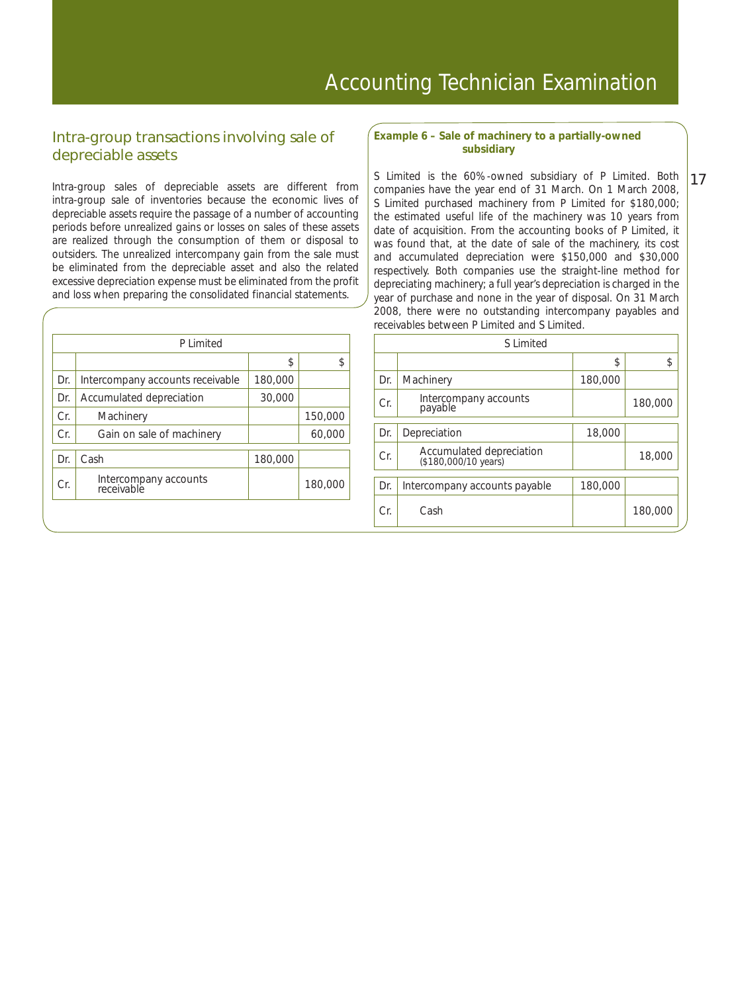# Intra-group transactions involving sale of depreciable assets

Intra-group sales of depreciable assets are different from intra-group sale of inventories because the economic lives of depreciable assets require the passage of a number of accounting periods before unrealized gains or losses on sales of these assets are realized through the consumption of them or disposal to outsiders. The unrealized intercompany gain from the sale must be eliminated from the depreciable asset and also the related excessive depreciation expense must be eliminated from the profit and loss when preparing the consolidated financial statements.

|     | P Limited                           |         |         |  |  |  |
|-----|-------------------------------------|---------|---------|--|--|--|
|     |                                     | \$.     | \$      |  |  |  |
| Dr. | Intercompany accounts receivable    | 180,000 |         |  |  |  |
| Dr. | Accumulated depreciation            | 30,000  |         |  |  |  |
| Cr. | Machinery                           |         | 150,000 |  |  |  |
| Cr. | Gain on sale of machinery           |         | 60,000  |  |  |  |
| Dr. | Cash                                | 180,000 |         |  |  |  |
| Cr. | Intercompany accounts<br>receivable |         | 180,000 |  |  |  |
|     |                                     |         |         |  |  |  |

#### **Example 6 – Sale of machinery to a partially-owned subsidiary**

17 S Limited is the 60%-owned subsidiary of P Limited. Both companies have the year end of 31 March. On 1 March 2008, S Limited purchased machinery from P Limited for \$180,000; the estimated useful life of the machinery was 10 years from date of acquisition. From the accounting books of P Limited, it was found that, at the date of sale of the machinery, its cost and accumulated depreciation were \$150,000 and \$30,000 respectively. Both companies use the straight-line method for depreciating machinery; a full year's depreciation is charged in the year of purchase and none in the year of disposal. On 31 March 2008, there were no outstanding intercompany payables and receivables between P Limited and S Limited.

|     | S Limited                                        |         |         |  |  |  |
|-----|--------------------------------------------------|---------|---------|--|--|--|
|     |                                                  | \$      | \$      |  |  |  |
| Dr. | Machinery                                        | 180,000 |         |  |  |  |
| Cr. | Intercompany accounts<br>payable                 |         | 180,000 |  |  |  |
| Dr. | Depreciation                                     | 18,000  |         |  |  |  |
| Cr. | Accumulated depreciation<br>(\$180,000/10 years) |         | 18,000  |  |  |  |
| Dr. | Intercompany accounts payable                    | 180,000 |         |  |  |  |
| Cr. | Cash                                             |         | 180,000 |  |  |  |